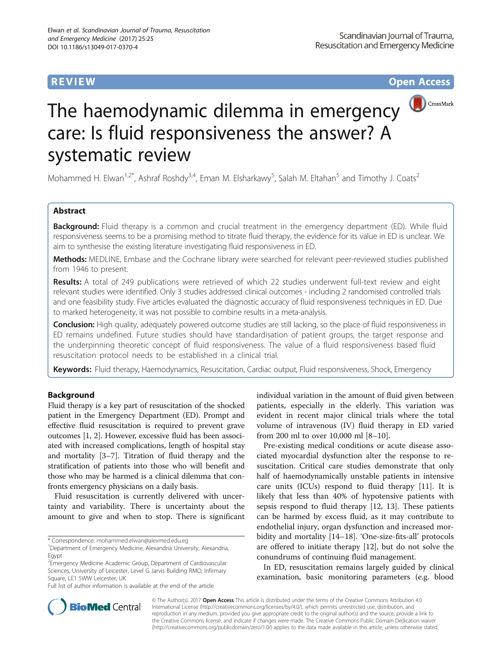**REVIEW CONTROL** CONTROL CONTROL CONTROL CONTROL CONTROL CONTROL CONTROL CONTROL CONTROL CONTROL CONTROL CONTROL CONTROL CONTROL CONTROL CONTROL CONTROL CONTROL CONTROL CONTROL CONTROL CONTROL CONTROL CONTROL CONTROL CONTR



# The haemodynamic dilemma in emergency **O**CrossMark care: Is fluid responsiveness the answer? A systematic review

Mohammed H. Elwan<sup>1,2\*</sup>, Ashraf Roshdy<sup>3,4</sup>, Eman M. Elsharkawy<sup>5</sup>, Salah M. Eltahan<sup>5</sup> and Timothy J. Coats<sup>2</sup>

# Abstract

**Background:** Fluid therapy is a common and crucial treatment in the emergency department (ED). While fluid responsiveness seems to be a promising method to titrate fluid therapy, the evidence for its value in ED is unclear. We aim to synthesise the existing literature investigating fluid responsiveness in ED.

Methods: MEDLINE, Embase and the Cochrane library were searched for relevant peer-reviewed studies published from 1946 to present.

Results: A total of 249 publications were retrieved of which 22 studies underwent full-text review and eight relevant studies were identified. Only 3 studies addressed clinical outcomes - including 2 randomised controlled trials and one feasibility study. Five articles evaluated the diagnostic accuracy of fluid responsiveness techniques in ED. Due to marked heterogeneity, it was not possible to combine results in a meta-analysis.

**Conclusion:** High quality, adequately powered outcome studies are still lacking, so the place of fluid responsiveness in ED remains undefined. Future studies should have standardisation of patient groups, the target response and the underpinning theoretic concept of fluid responsiveness. The value of a fluid responsiveness based fluid resuscitation protocol needs to be established in a clinical trial.

Keywords: Fluid therapy, Haemodynamics, Resuscitation, Cardiac output, Fluid responsiveness, Shock, Emergency

# Background

Fluid therapy is a key part of resuscitation of the shocked patient in the Emergency Department (ED). Prompt and effective fluid resuscitation is required to prevent grave outcomes [[1](#page-9-0), [2](#page-9-0)]. However, excessive fluid has been associated with increased complications, length of hospital stay and mortality [\[3](#page-9-0)–[7](#page-9-0)]. Titration of fluid therapy and the stratification of patients into those who will benefit and those who may be harmed is a clinical dilemma that confronts emergency physicians on a daily basis.

Fluid resuscitation is currently delivered with uncertainty and variability. There is uncertainty about the amount to give and when to stop. There is significant

\* Correspondence: [mohammed.elwan@alexmed.edu.eg](mailto:mohammed.elwan@alexmed.edu.eg) <sup>1</sup>

<sup>2</sup>Emergency Medicine Academic Group, Department of Cardiovascular Sciences, University of Leicester, Level G Jarvis Building RMO, Infirmary Square, LE1 5WW Leicester, UK

Full list of author information is available at the end of the article

individual variation in the amount of fluid given between patients, especially in the elderly. This variation was evident in recent major clinical trials where the total volume of intravenous (IV) fluid therapy in ED varied from 200 ml to over 10,000 ml [\[8](#page-9-0)–[10\]](#page-9-0).

Pre-existing medical conditions or acute disease associated myocardial dysfunction alter the response to resuscitation. Critical care studies demonstrate that only half of haemodynamically unstable patients in intensive care units (ICUs) respond to fluid therapy [[11\]](#page-9-0). It is likely that less than 40% of hypotensive patients with sepsis respond to fluid therapy [\[12](#page-9-0), [13](#page-9-0)]. These patients can be harmed by excess fluid, as it may contribute to endothelial injury, organ dysfunction and increased morbidity and mortality [\[14](#page-9-0)–[18](#page-9-0)]. 'One-size-fits-all' protocols are offered to initiate therapy [\[12\]](#page-9-0), but do not solve the conundrums of continuing fluid management.

In ED, resuscitation remains largely guided by clinical examination, basic monitoring parameters (e.g. blood



© The Author(s). 2017 **Open Access** This article is distributed under the terms of the Creative Commons Attribution 4.0 International License [\(http://creativecommons.org/licenses/by/4.0/](http://creativecommons.org/licenses/by/4.0/)), which permits unrestricted use, distribution, and reproduction in any medium, provided you give appropriate credit to the original author(s) and the source, provide a link to the Creative Commons license, and indicate if changes were made. The Creative Commons Public Domain Dedication waiver [\(http://creativecommons.org/publicdomain/zero/1.0/](http://creativecommons.org/publicdomain/zero/1.0/)) applies to the data made available in this article, unless otherwise stated.

<sup>&</sup>lt;sup>1</sup>Department of Emergency Medicine, Alexandria University, Alexandria, Egypt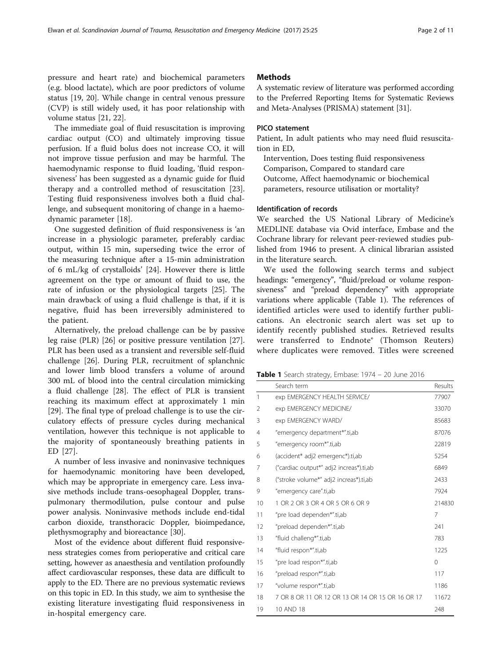pressure and heart rate) and biochemical parameters (e.g. blood lactate), which are poor predictors of volume status [[19, 20](#page-9-0)]. While change in central venous pressure (CVP) is still widely used, it has poor relationship with volume status [\[21](#page-9-0), [22](#page-9-0)].

The immediate goal of fluid resuscitation is improving cardiac output (CO) and ultimately improving tissue perfusion. If a fluid bolus does not increase CO, it will not improve tissue perfusion and may be harmful. The haemodynamic response to fluid loading, 'fluid responsiveness' has been suggested as a dynamic guide for fluid therapy and a controlled method of resuscitation [\[23](#page-9-0)]. Testing fluid responsiveness involves both a fluid challenge, and subsequent monitoring of change in a haemodynamic parameter [[18\]](#page-9-0).

One suggested definition of fluid responsiveness is 'an increase in a physiologic parameter, preferably cardiac output, within 15 min, superseding twice the error of the measuring technique after a 15-min administration of 6 mL/kg of crystalloids' [\[24](#page-9-0)]. However there is little agreement on the type or amount of fluid to use, the rate of infusion or the physiological targets [\[25\]](#page-9-0). The main drawback of using a fluid challenge is that, if it is negative, fluid has been irreversibly administered to the patient.

Alternatively, the preload challenge can be by passive leg raise (PLR) [\[26\]](#page-9-0) or positive pressure ventilation [\[27](#page-9-0)]. PLR has been used as a transient and reversible self-fluid challenge [[26\]](#page-9-0). During PLR, recruitment of splanchnic and lower limb blood transfers a volume of around 300 mL of blood into the central circulation mimicking a fluid challenge [\[28\]](#page-9-0). The effect of PLR is transient reaching its maximum effect at approximately 1 min [[29\]](#page-9-0). The final type of preload challenge is to use the circulatory effects of pressure cycles during mechanical ventilation, however this technique is not applicable to the majority of spontaneously breathing patients in ED [[27\]](#page-9-0).

A number of less invasive and noninvasive techniques for haemodynamic monitoring have been developed, which may be appropriate in emergency care. Less invasive methods include trans-oesophageal Doppler, transpulmonary thermodilution, pulse contour and pulse power analysis. Noninvasive methods include end-tidal carbon dioxide, transthoracic Doppler, bioimpedance, plethysmography and bioreactance [\[30\]](#page-9-0).

Most of the evidence about different fluid responsiveness strategies comes from perioperative and critical care setting, however as anaesthesia and ventilation profoundly affect cardiovascular responses, these data are difficult to apply to the ED. There are no previous systematic reviews on this topic in ED. In this study, we aim to synthesise the existing literature investigating fluid responsiveness in in-hospital emergency care.

#### **Methods**

A systematic review of literature was performed according to the Preferred Reporting Items for Systematic Reviews and Meta-Analyses (PRISMA) statement [\[31\]](#page-9-0).

#### PICO statement

Patient, In adult patients who may need fluid resuscitation in ED,

Intervention, Does testing fluid responsiveness Comparison, Compared to standard care Outcome, Affect haemodynamic or biochemical parameters, resource utilisation or mortality?

#### Identification of records

We searched the US National Library of Medicine's MEDLINE database via Ovid interface, Embase and the Cochrane library for relevant peer-reviewed studies published from 1946 to present. A clinical librarian assisted in the literature search.

We used the following search terms and subject headings: "emergency", "fluid/preload or volume responsiveness" and "preload dependency" with appropriate variations where applicable (Table 1). The references of identified articles were used to identify further publications. An electronic search alert was set up to identify recently published studies. Retrieved results were transferred to Endnote® (Thomson Reuters) where duplicates were removed. Titles were screened

| <b>Table 1</b> Search strategy, Embase: 1974 - 20 June 2016 |  |
|-------------------------------------------------------------|--|
|-------------------------------------------------------------|--|

|    | Search term                                      | Results  |
|----|--------------------------------------------------|----------|
| 1  | exp EMERGENCY HEALTH SERVICE/                    | 77907    |
| 2  | exp EMERGENCY MEDICINE/                          | 33070    |
| 3  | exp EMERGENCY WARD/                              | 85683    |
| 4  | "emergency department*".ti,ab                    | 87076    |
| 5  | "emergency room*".ti,ab                          | 22819    |
| 6  | (accident* adj2 emergenc*).ti,ab                 | 5254     |
| 7  | ("cardiac output*" adj2 increas*).ti,ab          | 6849     |
| 8  | ("stroke volume*" adj2 increas*).ti,ab           | 2433     |
| 9  | "emergency care".ti,ab                           | 7924     |
| 10 | 1 OR 2 OR 3 OR 4 OR 5 OR 6 OR 9                  | 214830   |
| 11 | "pre load dependen*".ti,ab                       | 7        |
| 12 | "preload dependen*".ti,ab                        | 241      |
| 13 | "fluid challeng*".ti,ab                          | 783      |
| 14 | "fluid respon*".ti,ab                            | 1225     |
| 15 | "pre load respon*".ti,ab                         | $\Omega$ |
| 16 | "preload respon*".ti,ab                          | 117      |
| 17 | "volume respon*".ti,ab                           | 1186     |
| 18 | 7 OR 8 OR 11 OR 12 OR 13 OR 14 OR 15 OR 16 OR 17 | 11672    |
| 19 | 10 AND 18                                        | 248      |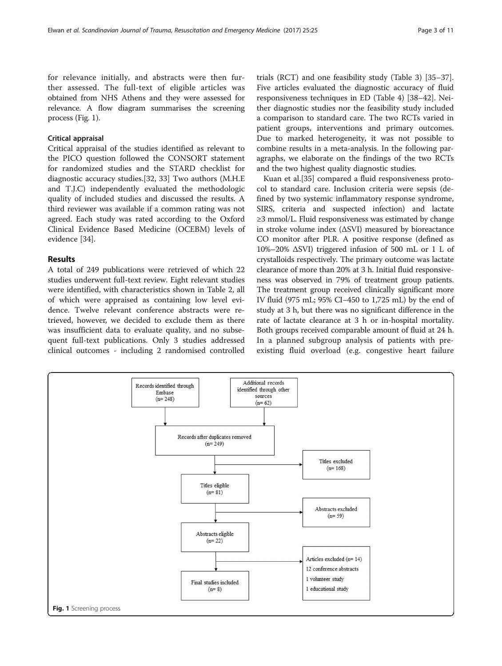for relevance initially, and abstracts were then further assessed. The full-text of eligible articles was obtained from NHS Athens and they were assessed for relevance. A flow diagram summarises the screening process (Fig. 1).

### Critical appraisal

Critical appraisal of the studies identified as relevant to the PICO question followed the CONSORT statement for randomized studies and the STARD checklist for diagnostic accuracy studies.[\[32](#page-9-0), [33\]](#page-9-0) Two authors (M.H.E and T.J.C) independently evaluated the methodologic quality of included studies and discussed the results. A third reviewer was available if a common rating was not agreed. Each study was rated according to the Oxford Clinical Evidence Based Medicine (OCEBM) levels of evidence [\[34\]](#page-9-0).

#### Results

A total of 249 publications were retrieved of which 22 studies underwent full-text review. Eight relevant studies were identified, with characteristics shown in Table [2,](#page-3-0) all of which were appraised as containing low level evidence. Twelve relevant conference abstracts were retrieved, however, we decided to exclude them as there was insufficient data to evaluate quality, and no subsequent full-text publications. Only 3 studies addressed clinical outcomes - including 2 randomised controlled

trials (RCT) and one feasibility study (Table [3\)](#page-4-0) [[35](#page-9-0)–[37](#page-9-0)]. Five articles evaluated the diagnostic accuracy of fluid responsiveness techniques in ED (Table [4\)](#page-5-0) [\[38](#page-9-0)–[42\]](#page-9-0). Neither diagnostic studies nor the feasibility study included a comparison to standard care. The two RCTs varied in patient groups, interventions and primary outcomes. Due to marked heterogeneity, it was not possible to combine results in a meta-analysis. In the following paragraphs, we elaborate on the findings of the two RCTs and the two highest quality diagnostic studies.

Kuan et al.[\[35](#page-9-0)] compared a fluid responsiveness protocol to standard care. Inclusion criteria were sepsis (defined by two systemic inflammatory response syndrome, SIRS, criteria and suspected infection) and lactate ≥3 mmol/L. Fluid responsiveness was estimated by change in stroke volume index (ΔSVI) measured by bioreactance CO monitor after PLR. A positive response (defined as 10%–20% ΔSVI) triggered infusion of 500 mL or 1 L of crystalloids respectively. The primary outcome was lactate clearance of more than 20% at 3 h. Initial fluid responsiveness was observed in 79% of treatment group patients. The treatment group received clinically significant more IV fluid (975 mL; 95% CI−450 to 1,725 mL) by the end of study at 3 h, but there was no significant difference in the rate of lactate clearance at 3 h or in-hospital mortality. Both groups received comparable amount of fluid at 24 h. In a planned subgroup analysis of patients with preexisting fluid overload (e.g. congestive heart failure

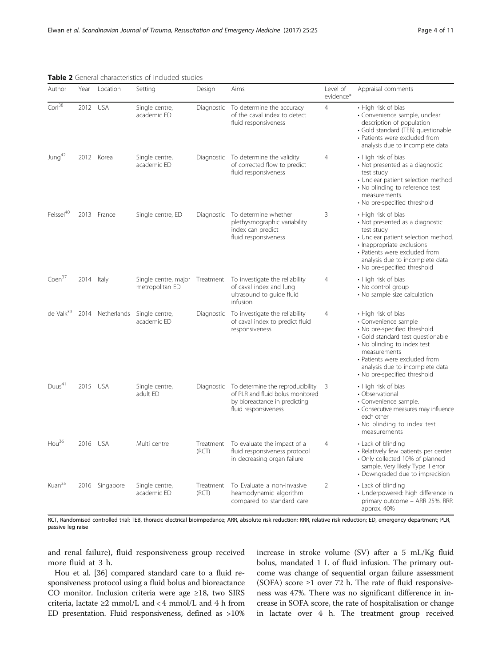| Author                | Year       | Location       | Setting                                           | Design             | Aims                                                                                                                                     | Level of<br>evidence* | Appraisal comments                                                                                                                                                                                                                                                   |
|-----------------------|------------|----------------|---------------------------------------------------|--------------------|------------------------------------------------------------------------------------------------------------------------------------------|-----------------------|----------------------------------------------------------------------------------------------------------------------------------------------------------------------------------------------------------------------------------------------------------------------|
| Corl <sup>38</sup>    | 2012 USA   |                | Single centre,<br>academic ED                     |                    | Diagnostic To determine the accuracy<br>of the caval index to detect<br>fluid responsiveness                                             | $\overline{4}$        | • High risk of bias<br>· Convenience sample, unclear<br>description of population<br>· Gold standard (TEB) questionable<br>• Patients were excluded from<br>analysis due to incomplete data                                                                          |
| Jung <sup>42</sup>    |            | 2012 Korea     | Single centre,<br>academic ED                     |                    | Diagnostic To determine the validity<br>of corrected flow to predict<br>fluid responsiveness                                             | 4                     | • High risk of bias<br>• Not presented as a diagnostic<br>test study<br>• Unclear patient selection method<br>• No blinding to reference test<br>measurements.<br>• No pre-specified threshold                                                                       |
| Feissel <sup>40</sup> |            | 2013 France    | Single centre, ED                                 |                    | Diagnostic To determine whether<br>plethysmographic variability<br>index can predict<br>fluid responsiveness                             | 3                     | • High risk of bias<br>• Not presented as a diagnostic<br>test study<br>· Unclear patient selection method.<br>· Inappropriate exclusions<br>• Patients were excluded from<br>analysis due to incomplete data<br>· No pre-specified threshold                        |
| Coen <sup>37</sup>    | 2014 Italy |                | Single centre, major Treatment<br>metropolitan ED |                    | To investigate the reliability<br>of caval index and lung<br>ultrasound to guide fluid<br>infusion                                       | $\overline{4}$        | • High risk of bias<br>• No control group<br>• No sample size calculation                                                                                                                                                                                            |
| de Valk <sup>39</sup> |            |                | 2014 Netherlands Single centre,<br>academic ED    | Diagnostic         | To investigate the reliability<br>of caval index to predict fluid<br>responsiveness                                                      | $\overline{4}$        | • High risk of bias<br>· Convenience sample<br>· No pre-specified threshold.<br>• Gold standard test questionable<br>• No blinding to index test<br>measurements<br>• Patients were excluded from<br>analysis due to incomplete data<br>• No pre-specified threshold |
| Duus <sup>41</sup>    | 2015 USA   |                | Single centre,<br>adult FD                        |                    | Diagnostic To determine the reproducibility<br>of PLR and fluid bolus monitored<br>by bioreactance in predicting<br>fluid responsiveness | 3                     | • High risk of bias<br>• Observational<br>· Convenience sample.<br>• Consecutive measures may influence<br>each other<br>• No blinding to index test<br>measurements                                                                                                 |
| $\text{Hou}^{36}$     |            | 2016 USA       | Multi centre                                      | Treatment<br>(RCT) | To evaluate the impact of a<br>fluid responsiveness protocol<br>in decreasing organ failure                                              | $\overline{4}$        | • Lack of blinding<br>· Relatively few patients per center<br>· Only collected 10% of planned<br>sample. Very likely Type II error<br>• Downgraded due to imprecision                                                                                                |
| Kuan <sup>35</sup>    |            | 2016 Singapore | Single centre,<br>academic ED                     | Treatment<br>(RCT) | To Evaluate a non-invasive<br>heamodynamic algorithm<br>compared to standard care                                                        | $\overline{2}$        | • Lack of blinding<br>· Underpowered: high difference in<br>primary outcome - ARR 25%. RRR<br>approx. 40%                                                                                                                                                            |

### <span id="page-3-0"></span>Table 2 General characteristics of included studies

RCT, Randomised controlled trial; TEB, thoracic electrical bioimpedance; ARR, absolute risk reduction; RRR, relative risk reduction; ED, emergency department; PLR, passive leg raise

and renal failure), fluid responsiveness group received more fluid at 3 h.

Hou et al. [[36](#page-9-0)] compared standard care to a fluid responsiveness protocol using a fluid bolus and bioreactance CO monitor. Inclusion criteria were age ≥18, two SIRS criteria, lactate  $\geq 2$  mmol/L and < 4 mmol/L and 4 h from ED presentation. Fluid responsiveness, defined as >10% increase in stroke volume (SV) after a 5 mL/Kg fluid bolus, mandated 1 L of fluid infusion. The primary outcome was change of sequential organ failure assessment (SOFA) score  $\geq 1$  over 72 h. The rate of fluid responsiveness was 47%. There was no significant difference in increase in SOFA score, the rate of hospitalisation or change in lactate over 4 h. The treatment group received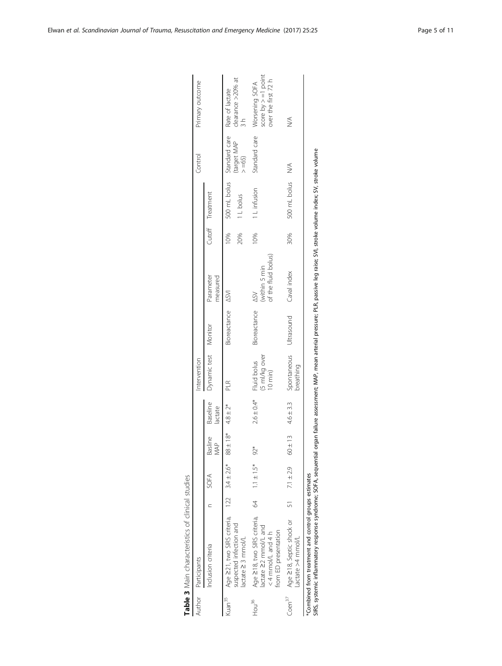| Author             | Participants                                                                |   |                 |                         |                          | intervention                            |                   |                                                     |     |                  | Control                                    | Primary outcome                                                 |
|--------------------|-----------------------------------------------------------------------------|---|-----------------|-------------------------|--------------------------|-----------------------------------------|-------------------|-----------------------------------------------------|-----|------------------|--------------------------------------------|-----------------------------------------------------------------|
|                    | Inclusion criteria                                                          |   | SOFA            | Basline Baseline<br>MAP | lactate                  | Dynamic test Monitor                    |                   | Parameter<br>measured                               |     | Cutoff Treatment |                                            |                                                                 |
| Kuan <sup>35</sup> | Age 221, two SIRS criteria, 122 3.4±2.6* 88                                 |   |                 |                         | $\pm 18^*$ 4.8 $\pm 2^*$ | PLR<br>                                 | Bioreactance ASVI |                                                     | 10% |                  | 500 mL bolus Standard care Rate of lactate |                                                                 |
|                    | uspected infection and<br>lactate 23 mmol/L                                 |   |                 |                         |                          |                                         |                   |                                                     | 20% | I L bolus        | (target MAP<br>$> =65$ )                   | clearance >20% at<br>$\frac{1}{2}$                              |
| Hou <sup>36</sup>  | Age 218, two SIRS criteria,<br>actate 22 mmol/L and<br>$<$ 4 mmol/L and 4 h | g | $1.1 \pm 1.5$ * | $92*$                   | $2.6 \pm 0.4*$           | (5 ml/kg over<br>10 min)<br>Fluid bolus | Bioreactance      | (within 5 min<br>of the fluid bolus)<br>$\triangle$ | 10% | 1 L infusion     | Standard care                              | score by $> = 1$ point<br>over the first 72 h<br>Worsening SOFA |
| $C$ oen $37$       | Age 218, Septic shock or<br>from ED presentation<br>actate >4 mmol/L        |   | 51 7.1 ± 2.9    | $60 \pm 13$             | $4.6 \pm 3.3$            | Spontaneous<br>prirting                 | Ultrasound        | Caval index                                         | 30% | 500 mL bolus     | ∖<br>N∕                                    | $\lessgtr$                                                      |
|                    | *Combined from treatment and control groups estimates                       |   |                 |                         |                          |                                         |                   |                                                     |     |                  |                                            |                                                                 |

Table 3 Main characteristics of clinical studies

Table 3 Main characteristics of clinical studies

SIRS, systemic inflammatory response syndrome; SOFA, sequential organ failure assessment; MAP, mean arterial pressure; PLR, passive leg raise; SVI, stroke volume index; SV, stroke volume SIRS, systemic inflammatory response syndrome; SOFA, sequential organ failure assessment; MAP, mean arterial pressure; PLR, passive leg raise; SVI, stroke volume index; SV, stroke volume

<span id="page-4-0"></span> $\overline{1}$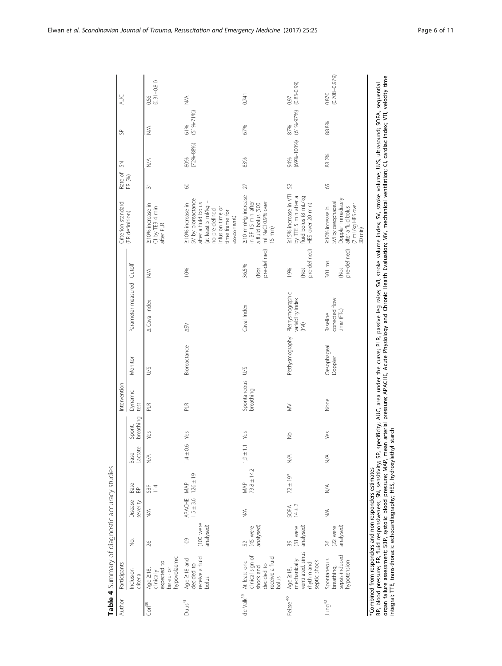| Author                | Participants                                                                           |                               |                        |                        |                 |                     | Intervention             |                        |                                                |                                   | Criterion standard                                                                                                                                          | Rate of<br>FR (%) | $\leq$                 | S                      | AUC                        |
|-----------------------|----------------------------------------------------------------------------------------|-------------------------------|------------------------|------------------------|-----------------|---------------------|--------------------------|------------------------|------------------------------------------------|-----------------------------------|-------------------------------------------------------------------------------------------------------------------------------------------------------------|-------------------|------------------------|------------------------|----------------------------|
|                       | Inclusion<br>criteria                                                                  | δ.                            | Disease<br>severity    | Base<br>$\mathbb B$    | Lactate<br>Base | breathing<br>Spont. | Dynamic<br>test          | Monitor                | Parameter measured                             | Cutoff                            | (FR definition)                                                                                                                                             |                   |                        |                        |                            |
| Corl <sup>38</sup>    | hypovolaemic<br>expected to<br>be eu- or<br>Age $\geq$ 18,<br>clinically               | 26                            | $\lessgtr$             | $rac{5B}{4}$           | N/A             | Yes                 | PLR.                     | S                      | A Caval index                                  | Š                                 | 210% increase in<br>CI by TEB 4 min<br>after PLR                                                                                                            | $\overline{5}$    | $\lessgtr$             | $\stackrel{<}{\geq}$   | $(0.31 - 0.81)$<br>0.56    |
| Duus <sup>41</sup>    | receive a fluid<br>Age 218 and<br>decided to<br>bolus                                  | (100 were<br>analysed)<br>109 | APACHE<br>$15 \pm 3.6$ | $126 \pm 19$<br>MAP    | $1.4 \pm 0.6$   | Yes                 | PLR.                     | Bioreactance           | $\leq \geq$                                    | 10%                               | SV by bioreactance<br>(at least 5 ml/kg -<br>after a fluid bolus<br>210% increase in<br>infusion time or<br>no pre-defined<br>time frame for<br>assessment) | $\circ$           | $(72\% - 88\%)$<br>80% | $(51\% - 71\%)$<br>61% | $\lessgtr$                 |
| de Valk $^{39}$       | clinical sign of<br>eceive a fluid<br>At least one<br>decided to<br>shock and<br>bolus | analysed)<br>(45 were<br>52   | $\lessgtr$             | $73.8 \pm 14.2$<br>MAP | $19 +$          | $1.1$ Yes           | Spontaneous<br>breathing | S                      | Caval Index                                    | pre-defined)<br>36.5%<br><b>Z</b> | 210 mmHg increase<br>in BP 15 min after<br>ml NaCl 0.9% over<br>a fluid bolus (500<br>$15$ min)                                                             | 27                | 83%                    | 67%                    | 0.741                      |
| Feissel <sup>40</sup> | ventilated, sinus<br>mechanically<br>septic shock<br>rhythm and<br>Age 218,            | (31 were<br>analysed)<br>39   | $14 \pm 2$<br>SOFA     | $72 \pm 19*$           | $\lessgtr$      | $\frac{1}{2}$       | $\geq$                   | Plethysmography        | Plethysmographic<br>variability index<br>(PXI) | pre-defined)<br>19%<br>ğ          | 215% increase in VTI<br>by TTE 5 min after a<br>fluid bolus (8 mL/kg<br>HES over 20 min)                                                                    | 52                | $(69% - 100%$<br>94%   | $(61\% - 97\%)$<br>87% | $(0.83 - 0.99)$<br>0.97    |
| Jung <sup>42</sup>    | sepsis-induced<br>Spontaneous<br>hypotension<br>breathing,                             | analysed)<br>(22 were<br>26   | $\lessgtr$             | $\lessgtr$             | $\lessgtr$      | Yes                 | None                     | Oesophageal<br>Doppler | corrected flow<br>time (FTc)<br>Baseline       | pre-defined)<br>301 ms<br>ÖN)     | Doppler immediately<br>SVI by oesophageal<br>(7 mL/kg HES over<br>210% increase in<br>after a fluid bolus<br>30 min)                                        | 65                | 88.2%                  | 88.8%                  | $(0.708 - 0.979)$<br>0.870 |

<span id="page-5-0"></span>Elwan et al. Scandinavian Journal of Trauma, Resuscitation and Emergency Medicine (2017) 25:25 Page 6 of 11

organ failure assessment; SBP, systolic blood pressure; MAP, mean arterial pressure; APACHE, Acute Physiology and Chronic Health Evaluation; MV, mechanical ventilation; CI, cardiac index; VTI, velocity time

integral; TTE, trans-thoracic echocardiography; HES, hydroxylethyl starch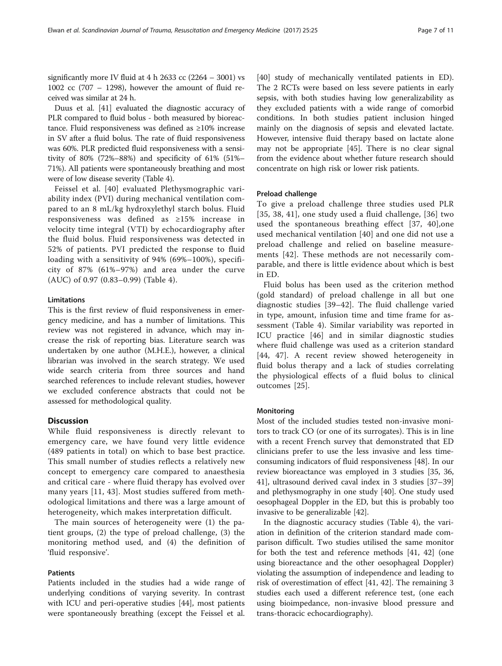significantly more IV fluid at 4 h 2633 cc (2264 – 3001) vs 1002 cc (707 – 1298), however the amount of fluid received was similar at 24 h.

Duus et al. [\[41\]](#page-9-0) evaluated the diagnostic accuracy of PLR compared to fluid bolus - both measured by bioreactance. Fluid responsiveness was defined as ≥10% increase in SV after a fluid bolus. The rate of fluid responsiveness was 60%. PLR predicted fluid responsiveness with a sensitivity of 80% (72%–88%) and specificity of 61% (51%– 71%). All patients were spontaneously breathing and most were of low disease severity (Table [4](#page-5-0)).

Feissel et al. [[40\]](#page-9-0) evaluated Plethysmographic variability index (PVI) during mechanical ventilation compared to an 8 mL/kg hydroxylethyl starch bolus. Fluid responsiveness was defined as ≥15% increase in velocity time integral (VTI) by echocardiography after the fluid bolus. Fluid responsiveness was detected in 52% of patients. PVI predicted the response to fluid loading with a sensitivity of 94% (69%–100%), specificity of 87% (61%–97%) and area under the curve (AUC) of 0.97 (0.83–0.99) (Table [4\)](#page-5-0).

#### Limitations

This is the first review of fluid responsiveness in emergency medicine, and has a number of limitations. This review was not registered in advance, which may increase the risk of reporting bias. Literature search was undertaken by one author (M.H.E.), however, a clinical librarian was involved in the search strategy. We used wide search criteria from three sources and hand searched references to include relevant studies, however we excluded conference abstracts that could not be assessed for methodological quality.

#### **Discussion**

While fluid responsiveness is directly relevant to emergency care, we have found very little evidence (489 patients in total) on which to base best practice. This small number of studies reflects a relatively new concept to emergency care compared to anaesthesia and critical care - where fluid therapy has evolved over many years [\[11](#page-9-0), [43](#page-9-0)]. Most studies suffered from methodological limitations and there was a large amount of heterogeneity, which makes interpretation difficult.

The main sources of heterogeneity were (1) the patient groups, (2) the type of preload challenge, (3) the monitoring method used, and (4) the definition of 'fluid responsive'.

#### Patients

Patients included in the studies had a wide range of underlying conditions of varying severity. In contrast with ICU and peri-operative studies [\[44\]](#page-10-0), most patients were spontaneously breathing (except the Feissel et al.

[[40\]](#page-9-0) study of mechanically ventilated patients in ED). The 2 RCTs were based on less severe patients in early sepsis, with both studies having low generalizability as they excluded patients with a wide range of comorbid conditions. In both studies patient inclusion hinged mainly on the diagnosis of sepsis and elevated lactate. However, intensive fluid therapy based on lactate alone may not be appropriate [[45\]](#page-10-0). There is no clear signal from the evidence about whether future research should concentrate on high risk or lower risk patients.

#### Preload challenge

To give a preload challenge three studies used PLR [[35](#page-9-0), [38](#page-9-0), [41\]](#page-9-0), one study used a fluid challenge, [\[36](#page-9-0)] two used the spontaneous breathing effect [[37, 40\]](#page-9-0),one used mechanical ventilation [[40\]](#page-9-0) and one did not use a preload challenge and relied on baseline measurements [[42\]](#page-9-0). These methods are not necessarily comparable, and there is little evidence about which is best in ED.

Fluid bolus has been used as the criterion method (gold standard) of preload challenge in all but one diagnostic studies [[39](#page-9-0)–[42\]](#page-9-0). The fluid challenge varied in type, amount, infusion time and time frame for assessment (Table [4\)](#page-5-0). Similar variability was reported in ICU practice [[46](#page-10-0)] and in similar diagnostic studies where fluid challenge was used as a criterion standard [[44, 47\]](#page-10-0). A recent review showed heterogeneity in fluid bolus therapy and a lack of studies correlating the physiological effects of a fluid bolus to clinical outcomes [[25](#page-9-0)].

#### **Monitoring**

Most of the included studies tested non-invasive monitors to track CO (or one of its surrogates). This is in line with a recent French survey that demonstrated that ED clinicians prefer to use the less invasive and less timeconsuming indicators of fluid responsiveness [[48\]](#page-10-0). In our review bioreactance was employed in 3 studies [[35](#page-9-0), [36](#page-9-0), [41\]](#page-9-0), ultrasound derived caval index in 3 studies [[37](#page-9-0)–[39](#page-9-0)] and plethysmography in one study [[40\]](#page-9-0). One study used oesophageal Doppler in the ED, but this is probably too invasive to be generalizable [[42](#page-9-0)].

In the diagnostic accuracy studies (Table [4\)](#page-5-0), the variation in definition of the criterion standard made comparison difficult. Two studies utilised the same monitor for both the test and reference methods [\[41, 42\]](#page-9-0) (one using bioreactance and the other oesophageal Doppler) violating the assumption of independence and leading to risk of overestimation of effect [[41, 42\]](#page-9-0). The remaining 3 studies each used a different reference test, (one each using bioimpedance, non-invasive blood pressure and trans-thoracic echocardiography).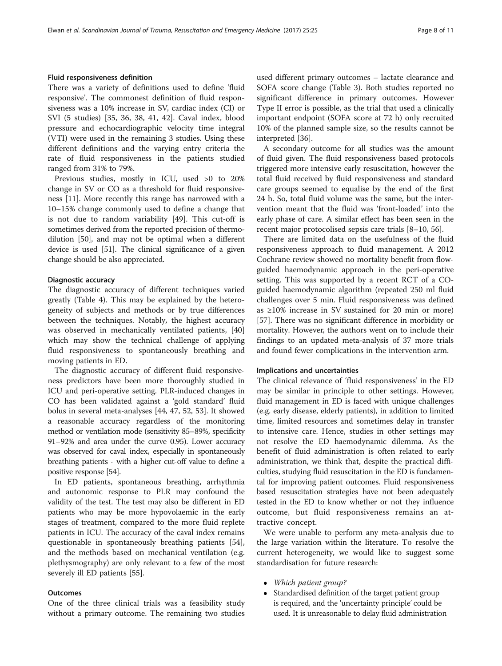#### Fluid responsiveness definition

There was a variety of definitions used to define 'fluid responsive'. The commonest definition of fluid responsiveness was a 10% increase in SV, cardiac index (CI) or SVI (5 studies) [\[35](#page-9-0), [36](#page-9-0), [38, 41, 42](#page-9-0)]. Caval index, blood pressure and echocardiographic velocity time integral (VTI) were used in the remaining 3 studies. Using these different definitions and the varying entry criteria the rate of fluid responsiveness in the patients studied ranged from 31% to 79%.

Previous studies, mostly in ICU, used >0 to 20% change in SV or CO as a threshold for fluid responsiveness [[11\]](#page-9-0). More recently this range has narrowed with a 10–15% change commonly used to define a change that is not due to random variability [[49](#page-10-0)]. This cut-off is sometimes derived from the reported precision of thermodilution [\[50](#page-10-0)], and may not be optimal when a different device is used [[51](#page-10-0)]. The clinical significance of a given change should be also appreciated.

#### Diagnostic accuracy

The diagnostic accuracy of different techniques varied greatly (Table [4](#page-5-0)). This may be explained by the heterogeneity of subjects and methods or by true differences between the techniques. Notably, the highest accuracy was observed in mechanically ventilated patients, [[40](#page-9-0)] which may show the technical challenge of applying fluid responsiveness to spontaneously breathing and moving patients in ED.

The diagnostic accuracy of different fluid responsiveness predictors have been more thoroughly studied in ICU and peri-operative setting. PLR-induced changes in CO has been validated against a 'gold standard' fluid bolus in several meta-analyses [[44, 47, 52, 53\]](#page-10-0). It showed a reasonable accuracy regardless of the monitoring method or ventilation mode (sensitivity 85–89%, specificity 91–92% and area under the curve 0.95). Lower accuracy was observed for caval index, especially in spontaneously breathing patients - with a higher cut-off value to define a positive response [\[54](#page-10-0)].

In ED patients, spontaneous breathing, arrhythmia and autonomic response to PLR may confound the validity of the test. The test may also be different in ED patients who may be more hypovolaemic in the early stages of treatment, compared to the more fluid replete patients in ICU. The accuracy of the caval index remains questionable in spontaneously breathing patients [\[54](#page-10-0)], and the methods based on mechanical ventilation (e.g. plethysmography) are only relevant to a few of the most severely ill ED patients [\[55](#page-10-0)].

#### **Outcomes**

One of the three clinical trials was a feasibility study without a primary outcome. The remaining two studies used different primary outcomes – lactate clearance and SOFA score change (Table [3\)](#page-4-0). Both studies reported no significant difference in primary outcomes. However Type II error is possible, as the trial that used a clinically important endpoint (SOFA score at 72 h) only recruited 10% of the planned sample size, so the results cannot be interpreted [\[36\]](#page-9-0).

A secondary outcome for all studies was the amount of fluid given. The fluid responsiveness based protocols triggered more intensive early resuscitation, however the total fluid received by fluid responsiveness and standard care groups seemed to equalise by the end of the first 24 h. So, total fluid volume was the same, but the intervention meant that the fluid was 'front-loaded' into the early phase of care. A similar effect has been seen in the recent major protocolised sepsis care trials [[8](#page-9-0)–[10](#page-9-0), [56](#page-10-0)].

There are limited data on the usefulness of the fluid responsiveness approach to fluid management. A 2012 Cochrane review showed no mortality benefit from flowguided haemodynamic approach in the peri-operative setting. This was supported by a recent RCT of a COguided haemodynamic algorithm (repeated 250 ml fluid challenges over 5 min. Fluid responsiveness was defined as ≥10% increase in SV sustained for 20 min or more) [[57\]](#page-10-0). There was no significant difference in morbidity or mortality. However, the authors went on to include their findings to an updated meta-analysis of 37 more trials and found fewer complications in the intervention arm.

#### Implications and uncertainties

The clinical relevance of 'fluid responsiveness' in the ED may be similar in principle to other settings. However, fluid management in ED is faced with unique challenges (e.g. early disease, elderly patients), in addition to limited time, limited resources and sometimes delay in transfer to intensive care. Hence, studies in other settings may not resolve the ED haemodynamic dilemma. As the benefit of fluid administration is often related to early administration, we think that, despite the practical difficulties, studying fluid resuscitation in the ED is fundamental for improving patient outcomes. Fluid responsiveness based resuscitation strategies have not been adequately tested in the ED to know whether or not they influence outcome, but fluid responsiveness remains an attractive concept.

We were unable to perform any meta-analysis due to the large variation within the literature. To resolve the current heterogeneity, we would like to suggest some standardisation for future research:

- Which patient group?
- Standardised definition of the target patient group is required, and the 'uncertainty principle' could be used. It is unreasonable to delay fluid administration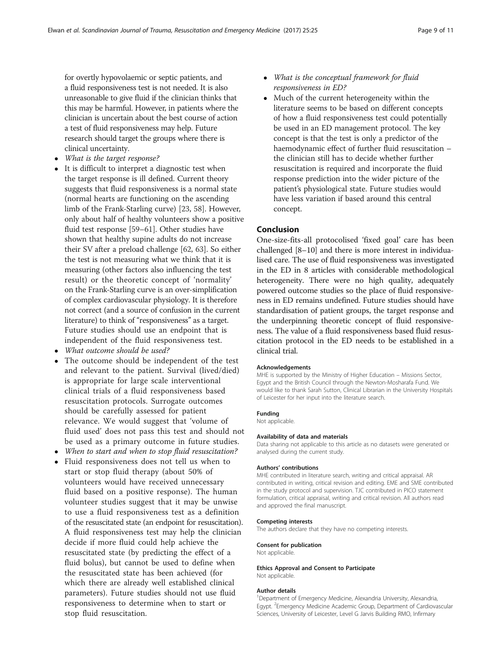for overtly hypovolaemic or septic patients, and a fluid responsiveness test is not needed. It is also unreasonable to give fluid if the clinician thinks that this may be harmful. However, in patients where the clinician is uncertain about the best course of action a test of fluid responsiveness may help. Future research should target the groups where there is clinical uncertainty.

- What is the target response?
- It is difficult to interpret a diagnostic test when the target response is ill defined. Current theory suggests that fluid responsiveness is a normal state (normal hearts are functioning on the ascending limb of the Frank-Starling curve) [\[23,](#page-9-0) [58\]](#page-10-0). However, only about half of healthy volunteers show a positive fluid test response [\[59](#page-10-0)–[61](#page-10-0)]. Other studies have shown that healthy supine adults do not increase their SV after a preload challenge [\[62,](#page-10-0) [63\]](#page-10-0). So either the test is not measuring what we think that it is measuring (other factors also influencing the test result) or the theoretic concept of 'normality' on the Frank-Starling curve is an over-simplification of complex cardiovascular physiology. It is therefore not correct (and a source of confusion in the current literature) to think of "responsiveness" as a target. Future studies should use an endpoint that is independent of the fluid responsiveness test.
- What outcome should be used?
- The outcome should be independent of the test and relevant to the patient. Survival (lived/died) is appropriate for large scale interventional clinical trials of a fluid responsiveness based resuscitation protocols. Surrogate outcomes should be carefully assessed for patient relevance. We would suggest that 'volume of fluid used' does not pass this test and should not be used as a primary outcome in future studies.
- When to start and when to stop fluid resuscitation?
- Fluid responsiveness does not tell us when to start or stop fluid therapy (about 50% of volunteers would have received unnecessary fluid based on a positive response). The human volunteer studies suggest that it may be unwise to use a fluid responsiveness test as a definition of the resuscitated state (an endpoint for resuscitation). A fluid responsiveness test may help the clinician decide if more fluid could help achieve the resuscitated state (by predicting the effect of a fluid bolus), but cannot be used to define when the resuscitated state has been achieved (for which there are already well established clinical parameters). Future studies should not use fluid responsiveness to determine when to start or stop fluid resuscitation.
- What is the conceptual framework for fluid responsiveness in ED?
- Much of the current heterogeneity within the literature seems to be based on different concepts of how a fluid responsiveness test could potentially be used in an ED management protocol. The key concept is that the test is only a predictor of the haemodynamic effect of further fluid resuscitation – the clinician still has to decide whether further resuscitation is required and incorporate the fluid response prediction into the wider picture of the patient's physiological state. Future studies would have less variation if based around this central concept.

#### Conclusion

One-size-fits-all protocolised 'fixed goal' care has been challenged [\[8](#page-9-0)–[10\]](#page-9-0) and there is more interest in individualised care. The use of fluid responsiveness was investigated in the ED in 8 articles with considerable methodological heterogeneity. There were no high quality, adequately powered outcome studies so the place of fluid responsiveness in ED remains undefined. Future studies should have standardisation of patient groups, the target response and the underpinning theoretic concept of fluid responsiveness. The value of a fluid responsiveness based fluid resuscitation protocol in the ED needs to be established in a clinical trial.

#### Acknowledgements

MHE is supported by the Ministry of Higher Education – Missions Sector, Egypt and the British Council through the Newton-Mosharafa Fund. We would like to thank Sarah Sutton, Clinical Librarian in the University Hospitals of Leicester for her input into the literature search.

#### Funding

Not applicable.

#### Availability of data and materials

Data sharing not applicable to this article as no datasets were generated or analysed during the current study.

#### Authors' contributions

MHE contributed in literature search, writing and critical appraisal. AR contributed in writing, critical revision and editing. EME and SME contributed in the study protocol and supervision. TJC contributed in PICO statement formulation, critical appraisal, writing and critical revision. All authors read and approved the final manuscript.

#### Competing interests

The authors declare that they have no competing interests.

#### Consent for publication

Not applicable.

#### Ethics Approval and Consent to Participate Not applicable.

#### Author details

<sup>1</sup> Department of Emergency Medicine, Alexandria University, Alexandria, Egypt. <sup>2</sup>Emergency Medicine Academic Group, Department of Cardiovascular Sciences, University of Leicester, Level G Jarvis Building RMO, Infirmary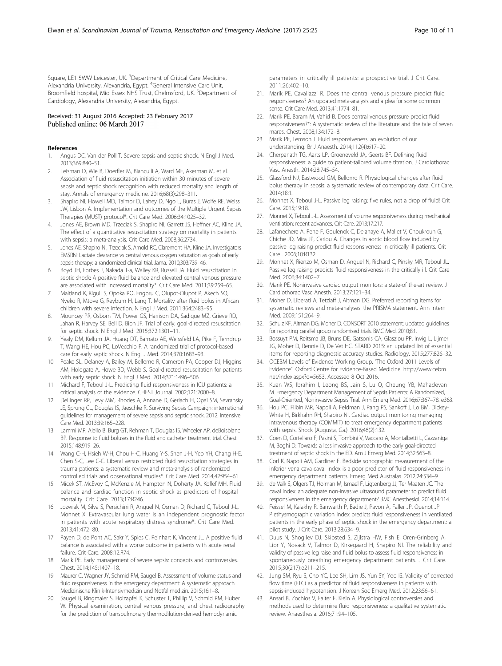<span id="page-9-0"></span>Square, LE1 5WW Leicester, UK. <sup>3</sup>Department of Critical Care Medicine, Alexandria University, Alexandria, Egypt. <sup>4</sup>General Intensive Care Unit, Broomfield hospital, Mid Essex NHS Trust, Chelmsford, UK. <sup>5</sup>Department of Cardiology, Alexandria University, Alexandria, Egypt.

#### Received: 31 August 2016 Accepted: 23 February 2017 Published online: 06 March 2017

#### References

- 1. Angus DC, Van der Poll T. Severe sepsis and septic shock. N Engl J Med. 2013;369:840–51.
- 2. Leisman D, Wie B, Doerfler M, Bianculli A, Ward MF, Akerman M, et al. Association of fluid resuscitation initiation within 30 minutes of severe sepsis and septic shock recognition with reduced mortality and length of stay. Annals of emergency medicine. 2016;68(3):298–311.
- Shapiro NI, Howell MD, Talmor D, Lahey D, Ngo L, Buras J, Wolfe RE, Weiss JW, Lisbon A. Implementation and outcomes of the Multiple Urgent Sepsis Therapies (MUST) protocol\*. Crit Care Med. 2006;34:1025–32.
- 4. Jones AE, Brown MD, Trzeciak S, Shapiro NI, Garrett JS, Heffner AC, Kline JA. The effect of a quantitative resuscitation strategy on mortality in patients with sepsis: a meta-analysis. Crit Care Med. 2008;36:2734.
- Jones AE, Shapiro NI, Trzeciak S, Arnold RC, Claremont HA, Kline JA. Investigators EMSRN: Lactate clearance vs central venous oxygen saturation as goals of early sepsis therapy: a randomized clinical trial. Jama. 2010;303:739–46.
- 6. Boyd JH, Forbes J, Nakada T-a, Walley KR, Russell JA. Fluid resuscitation in septic shock: A positive fluid balance and elevated central venous pressure are associated with increased mortality\*. Crit Care Med. 2011;39:259–65.
- 7. Maitland K, Kiguli S, Opoka RO, Engoru C, Olupot-Olupot P, Akech SO, Nyeko R, Mtove G, Reyburn H, Lang T. Mortality after fluid bolus in African children with severe infection. N Engl J Med. 2011;364:2483–95.
- 8. Mouncey PR, Osborn TM, Power GS, Harrison DA, Sadique MZ, Grieve RD, Jahan R, Harvey SE, Bell D, Bion JF. Trial of early, goal-directed resuscitation for septic shock. N Engl J Med. 2015;372:1301–11.
- 9. Yealy DM, Kellum JA, Huang DT, Barnato AE, Weissfeld LA, Pike F, Terndrup T, Wang HE, Hou PC, LoVecchio F. A randomized trial of protocol-based care for early septic shock. N Engl J Med. 2014;370:1683–93.
- 10. Peake SL, Delaney A, Bailey M, Bellomo R, Cameron PA, Cooper DJ, Higgins AM, Holdgate A, Howe BD, Webb S. Goal-directed resuscitation for patients with early septic shock. N Engl J Med. 2014;371:1496–506.
- 11. Michard F, Teboul J-L. Predicting fluid responsiveness in ICU patients: a critical analysis of the evidence. CHEST Journal. 2002;121:2000–8.
- 12. Dellinger RP, Levy MM, Rhodes A, Annane D, Gerlach H, Opal SM, Sevransky JE, Sprung CL, Douglas IS, Jaeschke R. Surviving Sepsis Campaign: international guidelines for management of severe sepsis and septic shock, 2012. Intensive Care Med. 2013;39:165–228.
- 13. Lammi MR, Aiello B, Burg GT, Rehman T, Douglas IS, Wheeler AP, deBoisblanc BP. Response to fluid boluses in the fluid and catheter treatment trial. Chest. 2015;148:919–26.
- 14. Wang C-H, Hsieh W-H, Chou H-C, Huang Y-S, Shen J-H, Yeo YH, Chang H-E, Chen S-C, Lee C-C. Liberal versus restricted fluid resuscitation strategies in trauma patients: a systematic review and meta-analysis of randomized controlled trials and observational studies\*. Crit Care Med. 2014;42:954–61.
- 15. Micek ST, McEvoy C, McKenzie M, Hampton N, Doherty JA, Kollef MH. Fluid balance and cardiac function in septic shock as predictors of hospital mortality. Crit Care. 2013;17:R246.
- 16. Jozwiak M, Silva S, Persichini R, Anguel N, Osman D, Richard C, Teboul J-L, Monnet X. Extravascular lung water is an independent prognostic factor in patients with acute respiratory distress syndrome\*. Crit Care Med. 2013;41:472–80.
- 17. Payen D, de Pont AC, Sakr Y, Spies C, Reinhart K, Vincent JL. A positive fluid balance is associated with a worse outcome in patients with acute renal failure. Crit Care. 2008;12:R74.
- 18. Marik PE. Early management of severe sepsis: concepts and controversies. Chest. 2014;145:1407–18.
- 19. Maurer C, Wagner JY, Schmid RM, Saugel B. Assessment of volume status and fluid responsiveness in the emergency department: A systematic approach. Medizinische Klinik-Intensivmedizin und Notfallmedizin. 2015;16:1–8.
- 20. Saugel B, Ringmaier S, Holzapfel K, Schuster T, Phillip V, Schmid RM, Huber W. Physical examination, central venous pressure, and chest radiography for the prediction of transpulmonary thermodilution-derived hemodynamic

parameters in critically ill patients: a prospective trial. J Crit Care. 2011;26:402–10.

- 21. Marik PE, Cavallazzi R. Does the central venous pressure predict fluid responsiveness? An updated meta-analysis and a plea for some common sense. Crit Care Med. 2013;41:1774–81.
- 22. Marik PE, Baram M, Vahid B. Does central venous pressure predict fluid responsiveness?\*: A systematic review of the literature and the tale of seven mares. Chest. 2008;134:172–8.
- 23. Marik PE, Lemson J. Fluid responsiveness: an evolution of our understanding. Br J Anaesth. 2014;112(4):617–20.
- 24. Cherpanath TG, Aarts LP, Groeneveld JA, Geerts BF. Defining fluid responsiveness: a guide to patient-tailored volume titration. J Cardiothorac Vasc Anesth. 2014;28:745–54.
- 25. Glassford NJ, Eastwood GM, Bellomo R. Physiological changes after fluid bolus therapy in sepsis: a systematic review of contemporary data. Crit Care. 2014;18:1.
- 26. Monnet X, Teboul J-L. Passive leg raising: five rules, not a drop of fluid! Crit Care. 2015;19:18.
- 27. Monnet X, Teboul J-L. Assessment of volume responsiveness during mechanical ventilation: recent advances. Crit Care. 2013;17:217.
- 28. Lafanechere A, Pene F, Goulenok C, Delahaye A, Mallet V, Choukroun G, Chiche JD, Mira JP, Cariou A. Changes in aortic blood flow induced by passive leg raising predict fluid responsiveness in critically ill patients. Crit Care . 2006;10:R132.
- 29. Monnet X, Rienzo M, Osman D, Anguel N, Richard C, Pinsky MR, Teboul JL. Passive leg raising predicts fluid responsiveness in the critically ill. Crit Care Med. 2006;34:1402–7.
- 30. Marik PE. Noninvasive cardiac output monitors: a state-of the-art review. J Cardiothorac Vasc Anesth. 2013;27:121–34.
- 31. Moher D, Liberati A, Tetzlaff J, Altman DG. Preferred reporting items for systematic reviews and meta-analyses: the PRISMA statement. Ann Intern Med. 2009;151:264–9.
- 32. Schulz KF, Altman DG, Moher D. CONSORT 2010 statement: updated guidelines for reporting parallel group randomised trials. BMC Med. 2010;8:1.
- 33. Bossuyt PM, Reitsma JB, Bruns DE, Gatsonis CA, Glasziou PP, Irwig L, Lijmer JG, Moher D, Rennie D, De Vet HC. STARD 2015: an updated list of essential items for reporting diagnostic accuracy studies. Radiology. 2015;277:826–32.
- 34. OCEBM Levels of Evidence Working Group. "The Oxford 2011 Levels of Evidence". Oxford Centre for Evidence-Based Medicine. [http://www.cebm.](http://www.cebm.net/index.aspx?o=5653) [net/index.aspx?o=5653](http://www.cebm.net/index.aspx?o=5653). Accessed 8 Oct 2016.
- 35. Kuan WS, Ibrahim I, Leong BS, Jain S, Lu Q, Cheung YB, Mahadevan M. Emergency Department Management of Sepsis Patients: A Randomized, Goal-Oriented, Noninvasive Sepsis Trial. Ann Emerg Med. 2016;67:367–78. e363.
- 36. Hou PC, Filbin MR, Napoli A, Feldman J, Pang PS, Sankoff J, Lo BM, Dickey-White H, Birkhahn RH, Shapiro NI. Cardiac output monitoring managing intravenous therapy (COMMIT) to treat emergency department patients with sepsis. Shock (Augusta, Ga.). 2016;46(2):132.
- 37. Coen D, Cortellaro F, Pasini S, Tombini V, Vaccaro A, Montalbetti L, Cazzaniga M, Boghi D. Towards a less invasive approach to the early goal-directed treatment of septic shock in the ED. Am J Emerg Med. 2014;32:563–8.
- 38. Corl K, Napoli AM, Gardiner F. Bedside sonographic measurement of the inferior vena cava caval index is a poor predictor of fluid responsiveness in emergency department patients. Emerg Med Australas. 2012;24:534–9.
- 39. de Valk S, Olgers TJ, Holman M, Ismael F, Ligtenberg JJ, Ter Maaten JC. The caval index: an adequate non-invasive ultrasound parameter to predict fluid responsiveness in the emergency department? BMC Anesthesiol. 2014;14:114.
- 40. Feissel M, Kalakhy R, Banwarth P, Badie J, Pavon A, Faller JP, Quenot JP. Plethysmographic variation index predicts fluid responsiveness in ventilated patients in the early phase of septic shock in the emergency department: a pilot study. J Crit Care. 2013;28:634–9.
- 41. Duus N, Shogilev DJ, Skibsted S, Zijlstra HW, Fish E, Oren-Grinberg A, Lior Y, Novack V, Talmor D, Kirkegaard H, Shapiro NI. The reliability and validity of passive leg raise and fluid bolus to assess fluid responsiveness in spontaneously breathing emergency department patients. J Crit Care. 2015;30(217):e211–215.
- 42. Jung SM, Ryu S, Cho YC, Lee SH, Lim JS, Yun SY, Yoo IS. Validity of corrected flow time (FTC) as a predictor of fluid responsiveness in patients with sepsis-induced hypotension. J Korean Soc Emerg Med. 2012;23:56–61.
- 43. Ansari B, Zochios V, Falter F, Klein A. Physiological controversies and methods used to determine fluid responsiveness: a qualitative systematic review. Anaesthesia. 2016;71:94–105.